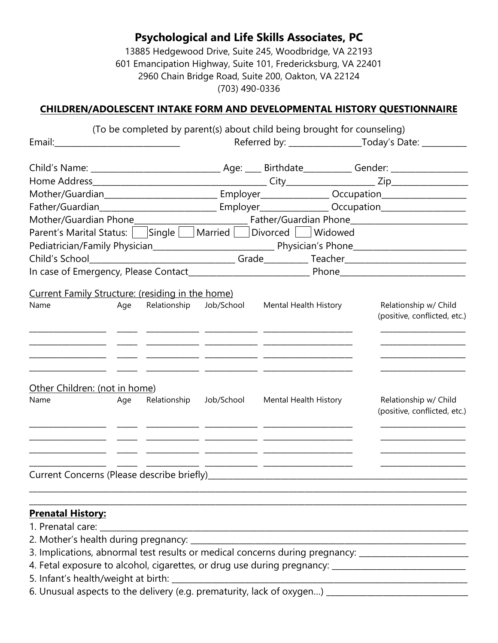13885 Hedgewood Drive, Suite 245, Woodbridge, VA 22193 601 Emancipation Highway, Suite 101, Fredericksburg, VA 22401 2960 Chain Bridge Road, Suite 200, Oakton, VA 22124 (703) 490-0336

### **CHILDREN/ADOLESCENT INTAKE FORM AND DEVELOPMENTAL HISTORY QUESTIONNAIRE**

|                                                                                                      |     |              |            | (To be completed by parent(s) about child being brought for counseling)                                  |  |                                                                                                            |  |
|------------------------------------------------------------------------------------------------------|-----|--------------|------------|----------------------------------------------------------------------------------------------------------|--|------------------------------------------------------------------------------------------------------------|--|
| Email: ________________________________                                                              |     |              |            |                                                                                                          |  |                                                                                                            |  |
|                                                                                                      |     |              |            |                                                                                                          |  |                                                                                                            |  |
|                                                                                                      |     |              |            |                                                                                                          |  |                                                                                                            |  |
| Mother/Guardian_________________________________Employer________________Occupation__________________ |     |              |            |                                                                                                          |  |                                                                                                            |  |
|                                                                                                      |     |              |            |                                                                                                          |  |                                                                                                            |  |
|                                                                                                      |     |              |            |                                                                                                          |  |                                                                                                            |  |
| Parent's Marital Status: Single Married Divorced Widowed                                             |     |              |            |                                                                                                          |  |                                                                                                            |  |
|                                                                                                      |     |              |            |                                                                                                          |  |                                                                                                            |  |
|                                                                                                      |     |              |            |                                                                                                          |  |                                                                                                            |  |
|                                                                                                      |     |              |            |                                                                                                          |  | In case of Emergency, Please Contact__________________________________Phone_______________________________ |  |
|                                                                                                      |     |              |            |                                                                                                          |  |                                                                                                            |  |
| Current Family Structure: (residing in the home)<br>Name                                             | Age | Relationship | Job/School | Mental Health History                                                                                    |  | Relationship w/ Child                                                                                      |  |
|                                                                                                      |     |              |            |                                                                                                          |  | (positive, conflicted, etc.)                                                                               |  |
|                                                                                                      |     |              |            | <u> 1950 - Jan Alexandro Alexandro III (m. 1950).</u><br>1951 - Johann Barnett, fransk politik (d. 1950) |  |                                                                                                            |  |
|                                                                                                      |     |              |            |                                                                                                          |  |                                                                                                            |  |
|                                                                                                      |     |              |            |                                                                                                          |  | the control of the control of the control of                                                               |  |
|                                                                                                      |     |              |            |                                                                                                          |  |                                                                                                            |  |
|                                                                                                      |     |              |            |                                                                                                          |  |                                                                                                            |  |
| Other Children: (not in home)<br>Name                                                                | Age | Relationship | Job/School | Mental Health History                                                                                    |  | Relationship w/ Child                                                                                      |  |
|                                                                                                      |     |              |            |                                                                                                          |  | (positive, conflicted, etc.)                                                                               |  |
|                                                                                                      |     |              |            |                                                                                                          |  |                                                                                                            |  |
|                                                                                                      |     |              |            |                                                                                                          |  |                                                                                                            |  |
|                                                                                                      |     |              |            |                                                                                                          |  |                                                                                                            |  |
|                                                                                                      |     |              |            |                                                                                                          |  |                                                                                                            |  |
|                                                                                                      |     |              |            |                                                                                                          |  |                                                                                                            |  |
|                                                                                                      |     |              |            |                                                                                                          |  |                                                                                                            |  |
|                                                                                                      |     |              |            |                                                                                                          |  |                                                                                                            |  |
| <b>Prenatal History:</b>                                                                             |     |              |            |                                                                                                          |  |                                                                                                            |  |
| 1. Prenatal care:                                                                                    |     |              |            |                                                                                                          |  |                                                                                                            |  |
|                                                                                                      |     |              |            |                                                                                                          |  |                                                                                                            |  |
|                                                                                                      |     |              |            |                                                                                                          |  | 3. Implications, abnormal test results or medical concerns during pregnancy: ______________________        |  |
|                                                                                                      |     |              |            |                                                                                                          |  |                                                                                                            |  |
|                                                                                                      |     |              |            |                                                                                                          |  | 6. Unusual aspects to the delivery (e.g. prematurity, lack of oxygen) ___________________________          |  |
|                                                                                                      |     |              |            |                                                                                                          |  |                                                                                                            |  |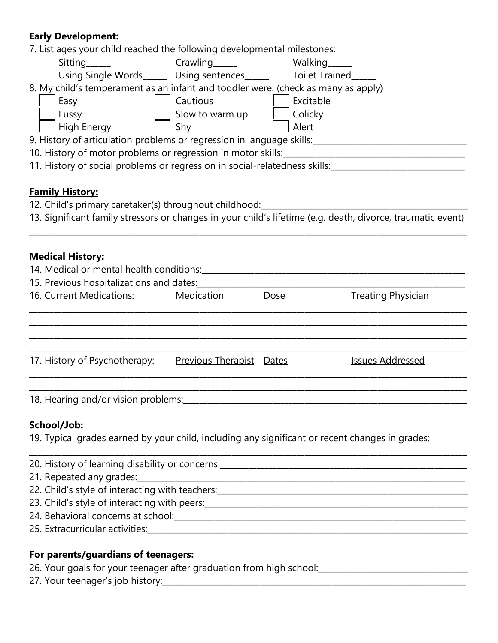### **Early Development:**

| <u>Early Development.</u>                                                                            |                                 |             |                                                                                                                                                       |
|------------------------------------------------------------------------------------------------------|---------------------------------|-------------|-------------------------------------------------------------------------------------------------------------------------------------------------------|
| 7. List ages your child reached the following developmental milestones:                              |                                 |             |                                                                                                                                                       |
| Sitting                                                                                              |                                 |             |                                                                                                                                                       |
| Using Single Words______ Using sentences______ Toilet Trained_____                                   |                                 |             |                                                                                                                                                       |
| 8. My child's temperament as an infant and toddler were: (check as many as apply)                    |                                 |             |                                                                                                                                                       |
| Easy                                                                                                 | Cautious                        | Excitable   |                                                                                                                                                       |
| Fussy                                                                                                | Slow to warm up                 | Colicky     |                                                                                                                                                       |
| <b>High Energy</b>                                                                                   | Shy                             | Alert       |                                                                                                                                                       |
| 9. History of articulation problems or regression in language skills:_______________________________ |                                 |             |                                                                                                                                                       |
|                                                                                                      |                                 |             |                                                                                                                                                       |
|                                                                                                      |                                 |             | 11. History of social problems or regression in social-relatedness skills: 11. History of social problems or regression in social-relatedness skills: |
|                                                                                                      |                                 |             |                                                                                                                                                       |
| <b>Family History:</b>                                                                               |                                 |             |                                                                                                                                                       |
| 12. Child's primary caretaker(s) throughout childhood:                                               |                                 |             |                                                                                                                                                       |
|                                                                                                      |                                 |             | 13. Significant family stressors or changes in your child's lifetime (e.g. death, divorce, traumatic event)                                           |
|                                                                                                      |                                 |             |                                                                                                                                                       |
|                                                                                                      |                                 |             |                                                                                                                                                       |
| <b>Medical History:</b>                                                                              |                                 |             |                                                                                                                                                       |
|                                                                                                      |                                 |             |                                                                                                                                                       |
| 15. Previous hospitalizations and dates:                                                             |                                 |             |                                                                                                                                                       |
| 16. Current Medications:                                                                             | <b>Medication</b>               | <b>Dose</b> | <b>Treating Physician</b>                                                                                                                             |
|                                                                                                      |                                 |             |                                                                                                                                                       |
|                                                                                                      |                                 |             |                                                                                                                                                       |
|                                                                                                      |                                 |             |                                                                                                                                                       |
| 17. History of Psychotherapy:                                                                        | <b>Previous Therapist</b> Dates |             | <b>Issues Addressed</b>                                                                                                                               |
|                                                                                                      |                                 |             |                                                                                                                                                       |
| 18. Hearing and/or vision problems:                                                                  |                                 |             |                                                                                                                                                       |
|                                                                                                      |                                 |             |                                                                                                                                                       |
| School/Job:                                                                                          |                                 |             |                                                                                                                                                       |
| 19. Typical grades earned by your child, including any significant or recent changes in grades:      |                                 |             |                                                                                                                                                       |
|                                                                                                      |                                 |             |                                                                                                                                                       |
| 21. Repeated any grades:                                                                             |                                 |             |                                                                                                                                                       |
|                                                                                                      |                                 |             |                                                                                                                                                       |
|                                                                                                      |                                 |             |                                                                                                                                                       |
|                                                                                                      |                                 |             |                                                                                                                                                       |

- 24. Behavioral concerns at school:\_\_\_\_\_\_\_\_\_\_\_\_\_\_\_\_\_\_\_\_\_\_\_\_\_\_\_\_\_\_\_\_\_\_\_\_\_\_\_\_\_\_\_\_\_\_\_\_\_\_\_\_\_\_\_\_\_\_\_\_\_\_\_\_\_\_\_\_\_\_\_\_
- 25. Extracurricular activities:\_\_\_\_\_\_\_\_\_\_\_\_\_\_\_\_\_\_\_\_\_\_\_\_\_\_\_\_\_\_\_\_\_\_\_\_\_\_\_\_\_\_\_\_\_\_\_\_\_\_\_\_\_\_\_\_\_\_\_\_\_\_\_\_\_\_\_\_\_\_\_\_\_\_\_\_\_\_\_

#### **For parents/guardians of teenagers:**

26. Your goals for your teenager after graduation from high school:\_\_\_\_\_\_\_\_\_\_\_\_\_\_\_\_\_\_\_\_\_\_\_\_\_\_\_\_\_\_\_\_\_\_\_\_\_

27. Your teenager's job history: 27. Your teenager's job history: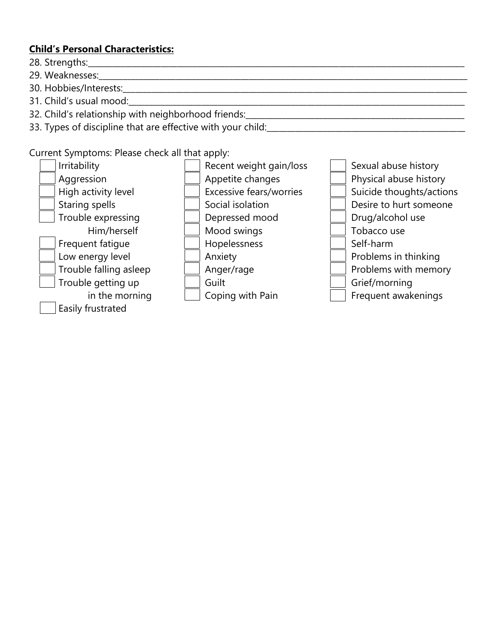#### **Child's Personal Characteristics:**

- 28. Strengths:\_\_\_\_\_\_\_\_\_\_\_\_\_\_\_\_\_\_\_\_\_\_\_\_\_\_\_\_\_\_\_\_\_\_\_\_\_\_\_\_\_\_\_\_\_\_\_\_\_\_\_\_\_\_\_\_\_\_\_\_\_\_\_\_\_\_\_\_\_\_\_\_\_\_\_\_\_\_\_\_\_\_\_\_\_\_\_\_\_\_\_\_\_
- 29. Weaknesses:
- 30. Hobbies/Interests:\_\_\_\_\_\_\_\_\_\_\_\_\_\_\_\_\_\_\_\_\_\_\_\_\_\_\_\_\_\_\_\_\_\_\_\_\_\_\_\_\_\_\_\_\_\_\_\_\_\_\_\_\_\_\_\_\_\_\_\_\_\_\_\_\_\_\_\_\_\_\_\_\_\_\_\_\_\_\_\_\_\_\_\_\_
- 31. Child's usual mood:
- 32. Child's relationship with neighborhood friends:
- 33. Types of discipline that are effective with your child:

Current Symptoms: Please check all that apply:

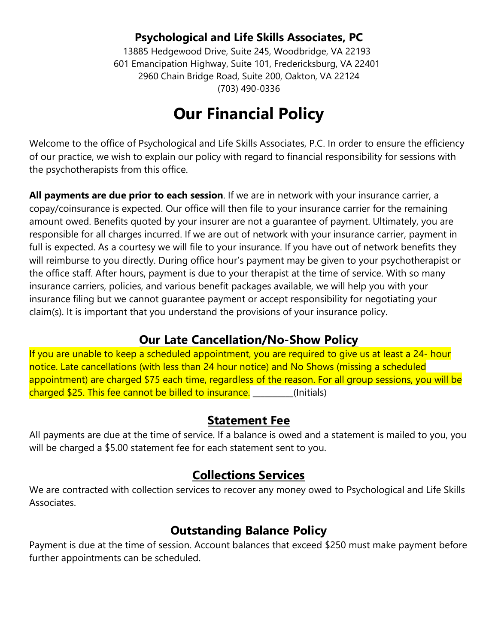13885 Hedgewood Drive, Suite 245, Woodbridge, VA 22193 601 Emancipation Highway, Suite 101, Fredericksburg, VA 22401 2960 Chain Bridge Road, Suite 200, Oakton, VA 22124 (703) 490-0336

# **Our Financial Policy**

Welcome to the office of Psychological and Life Skills Associates, P.C. In order to ensure the efficiency of our practice, we wish to explain our policy with regard to financial responsibility for sessions with the psychotherapists from this office.

**All payments are due prior to each session**. If we are in network with your insurance carrier, a copay/coinsurance is expected. Our office will then file to your insurance carrier for the remaining amount owed. Benefits quoted by your insurer are not a guarantee of payment. Ultimately, you are responsible for all charges incurred. If we are out of network with your insurance carrier, payment in full is expected. As a courtesy we will file to your insurance. If you have out of network benefits they will reimburse to you directly. During office hour's payment may be given to your psychotherapist or the office staff. After hours, payment is due to your therapist at the time of service. With so many insurance carriers, policies, and various benefit packages available, we will help you with your insurance filing but we cannot guarantee payment or accept responsibility for negotiating your claim(s). It is important that you understand the provisions of your insurance policy.

# **Our Late Cancellation/No-Show Policy**

If you are unable to keep a scheduled appointment, you are required to give us at least a 24- hour notice. Late cancellations (with less than 24 hour notice) and No Shows (missing a scheduled appointment) are charged \$75 each time, regardless of the reason. For all group sessions, you will be charged \$25. This fee cannot be billed to insurance. **The algebra** (Initials)

# **Statement Fee**

All payments are due at the time of service. If a balance is owed and a statement is mailed to you, you will be charged a \$5.00 statement fee for each statement sent to you.

# **Collections Services**

We are contracted with collection services to recover any money owed to Psychological and Life Skills Associates.

# **Outstanding Balance Policy**

Payment is due at the time of session. Account balances that exceed \$250 must make payment before further appointments can be scheduled.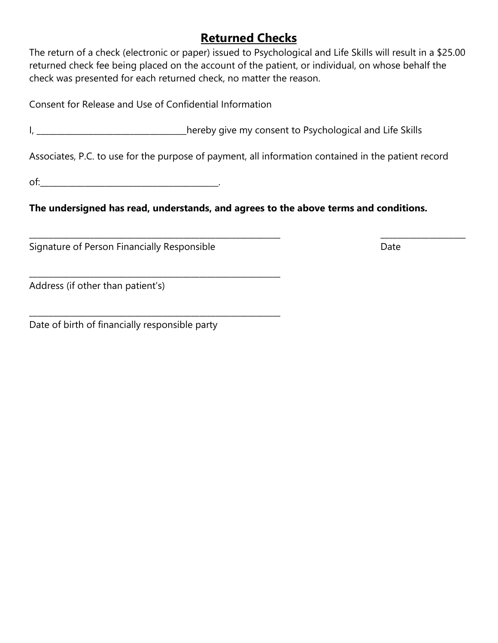# **Returned Checks**

The return of a check (electronic or paper) issued to Psychological and Life Skills will result in a \$25.00 returned check fee being placed on the account of the patient, or individual, on whose behalf the check was presented for each returned check, no matter the reason.

Consent for Release and Use of Confidential Information

\_\_\_\_\_\_\_\_\_\_\_\_\_\_\_\_\_\_\_\_\_\_\_\_\_\_\_\_\_\_\_\_\_\_\_\_\_\_\_\_\_\_\_\_\_\_\_\_\_\_\_\_\_\_\_\_\_\_\_\_\_\_

\_\_\_\_\_\_\_\_\_\_\_\_\_\_\_\_\_\_\_\_\_\_\_\_\_\_\_\_\_\_\_\_\_\_\_\_\_\_\_\_\_\_\_\_\_\_\_\_\_\_\_\_\_\_\_\_\_\_\_\_\_\_

I, \_\_\_\_\_\_\_\_\_\_\_\_\_\_\_\_\_\_\_\_\_\_\_\_\_\_\_\_\_\_\_\_hereby give my consent to Psychological and Life Skills

Associates, P.C. to use for the purpose of payment, all information contained in the patient record

\_\_\_\_\_\_\_\_\_\_\_\_\_\_\_\_\_\_\_\_\_\_\_\_\_\_\_\_\_\_\_\_\_\_\_\_\_\_\_\_\_\_\_\_\_\_\_\_\_\_\_\_\_\_\_\_\_\_\_\_\_\_ \_\_\_\_\_\_\_\_\_\_\_\_\_\_\_\_\_\_\_\_\_

of:\_\_\_\_\_\_\_\_\_\_\_\_\_\_\_\_\_\_\_\_\_\_\_\_\_\_\_\_\_\_\_\_\_\_\_\_\_\_\_\_\_\_\_\_.

**The undersigned has read, understands, and agrees to the above terms and conditions.**

Signature of Person Financially Responsible **Example 2018** Date

Address (if other than patient's)

Date of birth of financially responsible party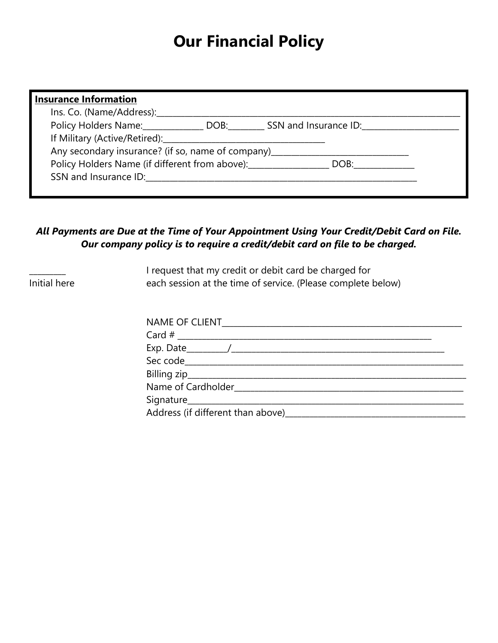# **Our Financial Policy**

| <b>Insurance Information</b>                                                     |  |
|----------------------------------------------------------------------------------|--|
| Ins. Co. (Name/Address):                                                         |  |
|                                                                                  |  |
| If Military (Active/Retired):______________________                              |  |
| Any secondary insurance? (if so, name of company)_______________________________ |  |
| Policy Holders Name (if different from above): DOB: DOB: DOB:                    |  |
|                                                                                  |  |
|                                                                                  |  |

### *All Payments are Due at the Time of Your Appointment Using Your Credit/Debit Card on File. Our company policy is to require a credit/debit card on file to be charged.*

 $\overline{\phantom{a}}$ Initial here I request that my credit or debit card be charged for each session at the time of service. (Please complete below)

| NAME OF CLIENT_________________ |  |
|---------------------------------|--|
|                                 |  |
|                                 |  |
|                                 |  |
|                                 |  |
|                                 |  |
|                                 |  |
|                                 |  |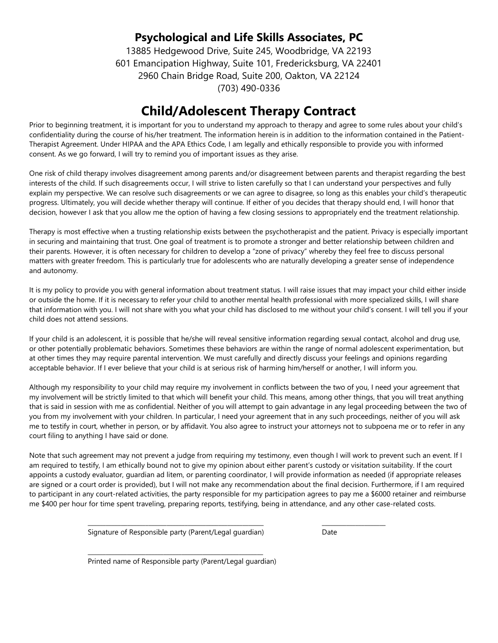13885 Hedgewood Drive, Suite 245, Woodbridge, VA 22193 601 Emancipation Highway, Suite 101, Fredericksburg, VA 22401 2960 Chain Bridge Road, Suite 200, Oakton, VA 22124 (703) 490-0336

# **Child/Adolescent Therapy Contract**

Prior to beginning treatment, it is important for you to understand my approach to therapy and agree to some rules about your child's confidentiality during the course of his/her treatment. The information herein is in addition to the information contained in the Patient-Therapist Agreement. Under HIPAA and the APA Ethics Code, I am legally and ethically responsible to provide you with informed consent. As we go forward, I will try to remind you of important issues as they arise.

One risk of child therapy involves disagreement among parents and/or disagreement between parents and therapist regarding the best interests of the child. If such disagreements occur, I will strive to listen carefully so that I can understand your perspectives and fully explain my perspective. We can resolve such disagreements or we can agree to disagree, so long as this enables your child's therapeutic progress. Ultimately, you will decide whether therapy will continue. If either of you decides that therapy should end, I will honor that decision, however I ask that you allow me the option of having a few closing sessions to appropriately end the treatment relationship.

Therapy is most effective when a trusting relationship exists between the psychotherapist and the patient. Privacy is especially important in securing and maintaining that trust. One goal of treatment is to promote a stronger and better relationship between children and their parents. However, it is often necessary for children to develop a "zone of privacy" whereby they feel free to discuss personal matters with greater freedom. This is particularly true for adolescents who are naturally developing a greater sense of independence and autonomy.

It is my policy to provide you with general information about treatment status. I will raise issues that may impact your child either inside or outside the home. If it is necessary to refer your child to another mental health professional with more specialized skills, I will share that information with you. I will not share with you what your child has disclosed to me without your child's consent. I will tell you if your child does not attend sessions.

If your child is an adolescent, it is possible that he/she will reveal sensitive information regarding sexual contact, alcohol and drug use, or other potentially problematic behaviors. Sometimes these behaviors are within the range of normal adolescent experimentation, but at other times they may require parental intervention. We must carefully and directly discuss your feelings and opinions regarding acceptable behavior. If I ever believe that your child is at serious risk of harming him/herself or another, I will inform you.

Although my responsibility to your child may require my involvement in conflicts between the two of you, I need your agreement that my involvement will be strictly limited to that which will benefit your child. This means, among other things, that you will treat anything that is said in session with me as confidential. Neither of you will attempt to gain advantage in any legal proceeding between the two of you from my involvement with your children. In particular, I need your agreement that in any such proceedings, neither of you will ask me to testify in court, whether in person, or by affidavit. You also agree to instruct your attorneys not to subpoena me or to refer in any court filing to anything I have said or done.

Note that such agreement may not prevent a judge from requiring my testimony, even though I will work to prevent such an event. If I am required to testify, I am ethically bound not to give my opinion about either parent's custody or visitation suitability. If the court appoints a custody evaluator, guardian ad litem, or parenting coordinator, I will provide information as needed (if appropriate releases are signed or a court order is provided), but I will not make any recommendation about the final decision. Furthermore, if I am required to participant in any court-related activities, the party responsible for my participation agrees to pay me a \$6000 retainer and reimburse me \$400 per hour for time spent traveling, preparing reports, testifying, being in attendance, and any other case-related costs.

> \_\_\_\_\_\_\_\_\_\_\_\_\_\_\_\_\_\_\_\_\_\_\_\_\_\_\_\_\_\_\_\_\_\_\_\_\_\_\_\_\_\_\_\_\_\_\_\_\_\_\_\_\_\_\_\_\_\_ Signature of Responsible party (Parent/Legal guardian)

Date

\_\_\_\_\_\_\_\_\_\_\_\_\_\_\_\_\_\_\_\_\_

\_\_\_\_\_\_\_\_\_\_\_\_\_\_\_\_\_\_\_\_\_\_\_\_\_\_\_\_\_\_\_\_\_\_\_\_\_\_\_\_\_\_\_\_\_\_\_\_\_\_\_\_\_\_\_\_\_\_ Printed name of Responsible party (Parent/Legal guardian)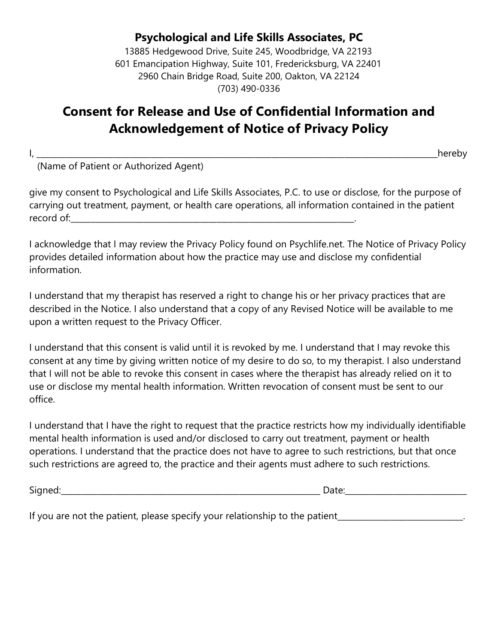13885 Hedgewood Drive, Suite 245, Woodbridge, VA 22193 601 Emancipation Highway, Suite 101, Fredericksburg, VA 22401 2960 Chain Bridge Road, Suite 200, Oakton, VA 22124 (703) 490-0336

# **Consent for Release and Use of Confidential Information and Acknowledgement of Notice of Privacy Policy**

I, \_\_\_\_\_\_\_\_\_\_\_\_\_\_\_\_\_\_\_\_\_\_\_\_\_\_\_\_\_\_\_\_\_\_\_\_\_\_\_\_\_\_\_\_\_\_\_\_\_\_\_\_\_\_\_\_\_\_\_\_\_\_\_\_\_\_\_\_\_\_\_\_\_\_\_\_\_\_\_\_\_\_\_\_\_\_\_\_\_\_\_\_\_\_\_\_\_\_\_hereby

(Name of Patient or Authorized Agent)

give my consent to Psychological and Life Skills Associates, P.C. to use or disclose, for the purpose of carrying out treatment, payment, or health care operations, all information contained in the patient record of:\_\_\_\_\_\_\_\_\_\_\_\_\_\_\_\_\_\_\_\_\_\_\_\_\_\_\_\_\_\_\_\_\_\_\_\_\_\_\_\_\_\_\_\_\_\_\_\_\_\_\_\_\_\_\_\_\_\_\_\_\_\_\_\_\_\_\_\_\_\_.

I acknowledge that I may review the Privacy Policy found on Psychlife.net. The Notice of Privacy Policy provides detailed information about how the practice may use and disclose my confidential information.

I understand that my therapist has reserved a right to change his or her privacy practices that are described in the Notice. I also understand that a copy of any Revised Notice will be available to me upon a written request to the Privacy Officer.

I understand that this consent is valid until it is revoked by me. I understand that I may revoke this consent at any time by giving written notice of my desire to do so, to my therapist. I also understand that I will not be able to revoke this consent in cases where the therapist has already relied on it to use or disclose my mental health information. Written revocation of consent must be sent to our office.

I understand that I have the right to request that the practice restricts how my individually identifiable mental health information is used and/or disclosed to carry out treatment, payment or health operations. I understand that the practice does not have to agree to such restrictions, but that once such restrictions are agreed to, the practice and their agents must adhere to such restrictions.

| $\overline{\phantom{a}}$ | -   |
|--------------------------|-----|
| ٦١٢                      | . . |
| $\overline{\phantom{a}}$ |     |
|                          |     |

If you are not the patient, please specify your relationship to the patient\_\_\_\_\_\_\_\_\_\_\_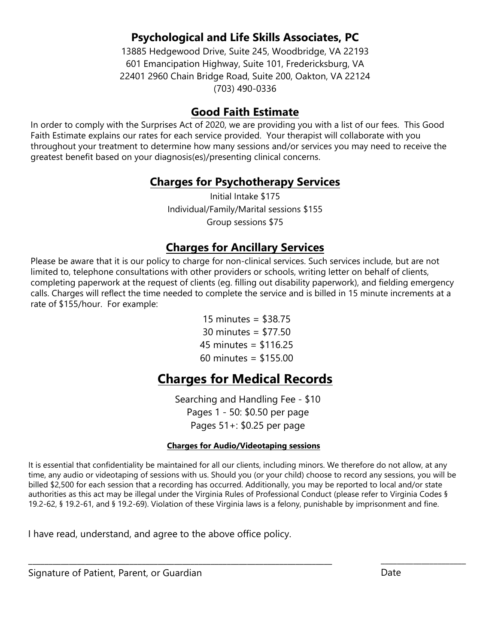13885 Hedgewood Drive, Suite 245, Woodbridge, VA 22193 601 Emancipation Highway, Suite 101, Fredericksburg, VA 22401 2960 Chain Bridge Road, Suite 200, Oakton, VA 22124 (703) 490-0336

### **Good Faith Estimate**

In order to comply with the Surprises Act of 2020, we are providing you with a list of our fees. This Good Faith Estimate explains our rates for each service provided. Your therapist will collaborate with you throughout your treatment to determine how many sessions and/or services you may need to receive the greatest benefit based on your diagnosis(es)/presenting clinical concerns.

# **Charges for Psychotherapy Services**

Initial Intake \$175 Individual/Family/Marital sessions \$155 Group sessions \$75

# **Charges for Ancillary Services**

Please be aware that it is our policy to charge for non-clinical services. Such services include, but are not limited to, telephone consultations with other providers or schools, writing letter on behalf of clients, completing paperwork at the request of clients (eg. filling out disability paperwork), and fielding emergency calls. Charges will reflect the time needed to complete the service and is billed in 15 minute increments at a rate of \$155/hour. For example:

> 15 minutes = \$38.75 30 minutes = \$77.50  $45$  minutes = \$116.25 60 minutes = \$155.00

# **Charges for Medical Records**

Searching and Handling Fee - \$10 Pages 1 - 50: \$0.50 per page Pages 51+: \$0.25 per page

#### **Charges for Audio/Videotaping sessions**

It is essential that confidentiality be maintained for all our clients, including minors. We therefore do not allow, at any time, any audio or videotaping of sessions with us. Should you (or your child) choose to record any sessions, you will be billed \$2,500 for each session that a recording has occurred. Additionally, you may be reported to local and/or state authorities as this act may be illegal under the Virginia Rules of Professional Conduct (please refer to Virginia Codes § 19.2-62, § 19.2-61, and § 19.2-69). Violation of these Virginia laws is a felony, punishable by imprisonment and fine.

\_\_\_\_\_\_\_\_\_\_\_\_\_\_\_\_\_\_\_\_\_\_\_\_\_\_\_\_\_\_\_\_\_\_\_\_\_\_\_\_\_\_\_\_\_\_\_\_\_\_\_\_\_\_\_\_\_\_\_\_\_\_\_\_\_\_\_\_\_\_\_\_\_\_\_ \_\_\_\_\_\_\_\_\_\_\_\_\_\_\_\_\_\_\_\_\_

I have read, understand, and agree to the above office policy.